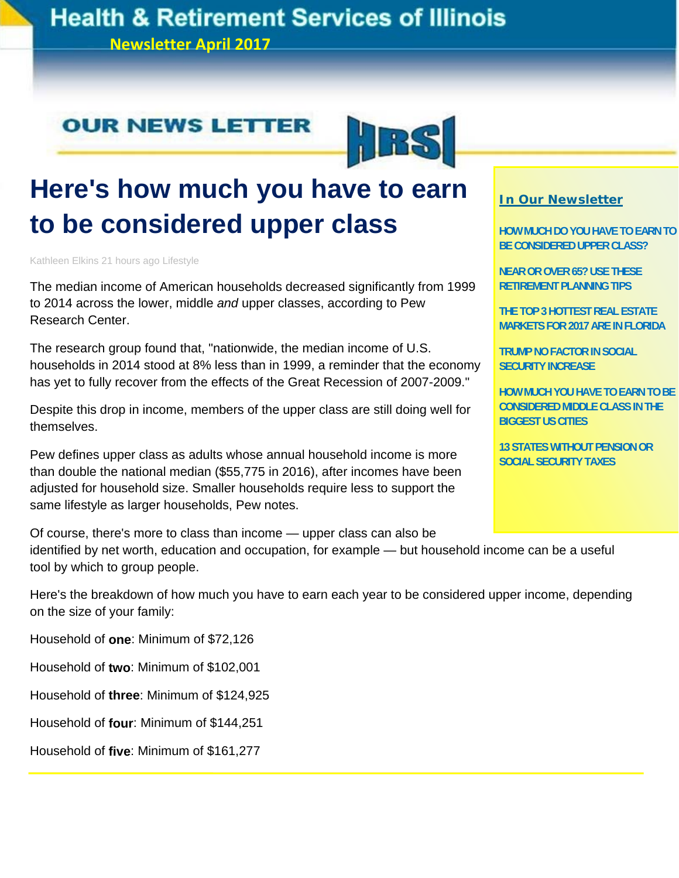# **Health & Retirement Services of Illinois**

**Newsletter April 2017**

## **OUR NEWS LETTER**



# **Here's how much you have to earn to be considered upper class**

Kathleen Elkins 21 hours ago Lifestyle

The median income of American households decreased significantly from 1999 to 2014 across the lower, middle *and* upper classes, according to Pew Research Center.

The research group found that, "nationwide, the median income of U.S. households in 2014 stood at 8% less than in 1999, a reminder that the economy has yet to fully recover from the effects of the Great Recession of 2007-2009."

Despite this drop in income, members of the upper class are still doing well for themselves.

Pew defines upper class as adults whose annual household income is more than double the national median (\$55,775 in 2016), after incomes have been adjusted for household size. Smaller households require less to support the same lifestyle as larger households, Pew notes.

#### **In Our Newsletter**

**HOW MUCH DO YOU HAVE TO EARN TO BE CONSIDERED UPPER CLASS?** 

**NEAR OR OVER 65? USE THESE RETIREMENT PLANNING TIPS** 

**THE TOP 3 HOTTEST REAL ESTATE MARKETS FOR 2017 ARE IN FLORIDA** 

**TRUMP NO FACTOR IN SOCIAL SECURITY INCREASE** 

**HOW MUCH YOU HAVE TO EARN TO BE CONSIDERED MIDDLE CLASS IN THE BIGGEST US CITIES** 

**13 STATES WITHOUT PENSION OR SOCIAL SECURITY TAXES**

Of course, there's more to class than income — upper class can also be identified by net worth, education and occupation, for example — but household income can be a useful tool by which to group people.

Here's the breakdown of how much you have to earn each year to be considered upper income, depending on the size of your family:

Household of **one**: Minimum of \$72,126

Household of **two**: Minimum of \$102,001

Household of **three**: Minimum of \$124,925

Household of **four**: Minimum of \$144,251

Household of **five**: Minimum of \$161,277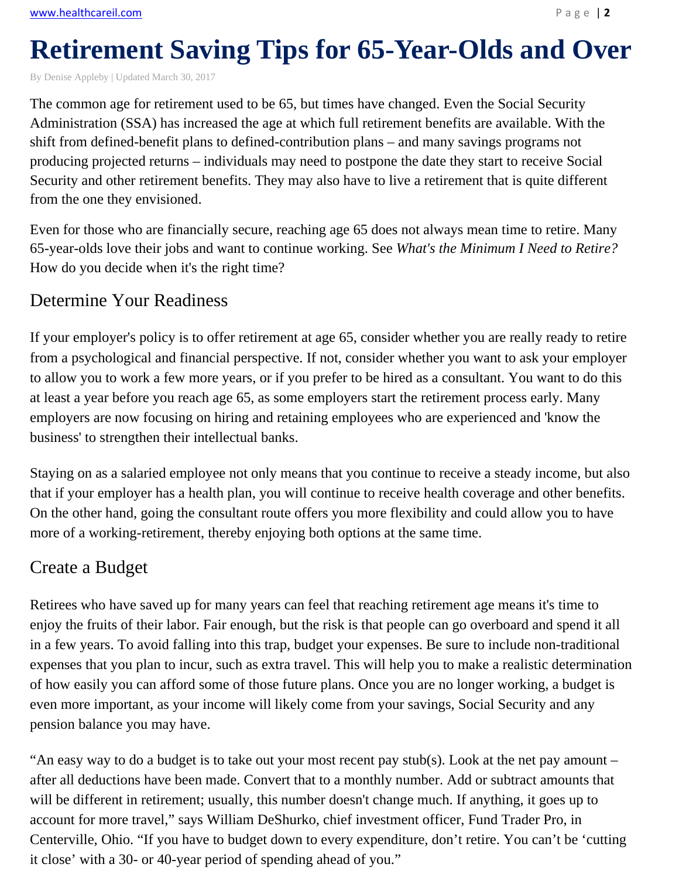# **Retirement Saving Tips for 65-Year-Olds and Over**

By Denise Appleby | Updated March 30, 2017

The common age for retirement used to be 65, but times have changed. Even the Social Security Administration (SSA) has increased the age at which full retirement benefits are available. With the shift from defined-benefit plans to defined-contribution plans – and many savings programs not producing projected returns – individuals may need to postpone the date they start to receive Social Security and other retirement benefits. They may also have to live a retirement that is quite different from the one they envisioned.

Even for those who are financially secure, reaching age 65 does not always mean time to retire. Many 65-year-olds love their jobs and want to continue working. See *What's the Minimum I Need to Retire?*  How do you decide when it's the right time?

## Determine Your Readiness

If your employer's policy is to offer retirement at age 65, consider whether you are really ready to retire from a psychological and financial perspective. If not, consider whether you want to ask your employer to allow you to work a few more years, or if you prefer to be hired as a consultant. You want to do this at least a year before you reach age 65, as some employers start the retirement process early. Many employers are now focusing on hiring and retaining employees who are experienced and 'know the business' to strengthen their intellectual banks.

Staying on as a salaried employee not only means that you continue to receive a steady income, but also that if your employer has a health plan, you will continue to receive health coverage and other benefits. On the other hand, going the consultant route offers you more flexibility and could allow you to have more of a working-retirement, thereby enjoying both options at the same time.

## Create a Budget

Retirees who have saved up for many years can feel that reaching retirement age means it's time to enjoy the fruits of their labor. Fair enough, but the risk is that people can go overboard and spend it all in a few years. To avoid falling into this trap, budget your expenses. Be sure to include non-traditional expenses that you plan to incur, such as extra travel. This will help you to make a realistic determination of how easily you can afford some of those future plans. Once you are no longer working, a budget is even more important, as your income will likely come from your savings, Social Security and any pension balance you may have.

"An easy way to do a budget is to take out your most recent pay stub(s). Look at the net pay amount  $$ after all deductions have been made. Convert that to a monthly number. Add or subtract amounts that will be different in retirement; usually, this number doesn't change much. If anything, it goes up to account for more travel," says William DeShurko, chief investment officer, Fund Trader Pro, in Centerville, Ohio. "If you have to budget down to every expenditure, don't retire. You can't be 'cutting it close' with a 30- or 40-year period of spending ahead of you."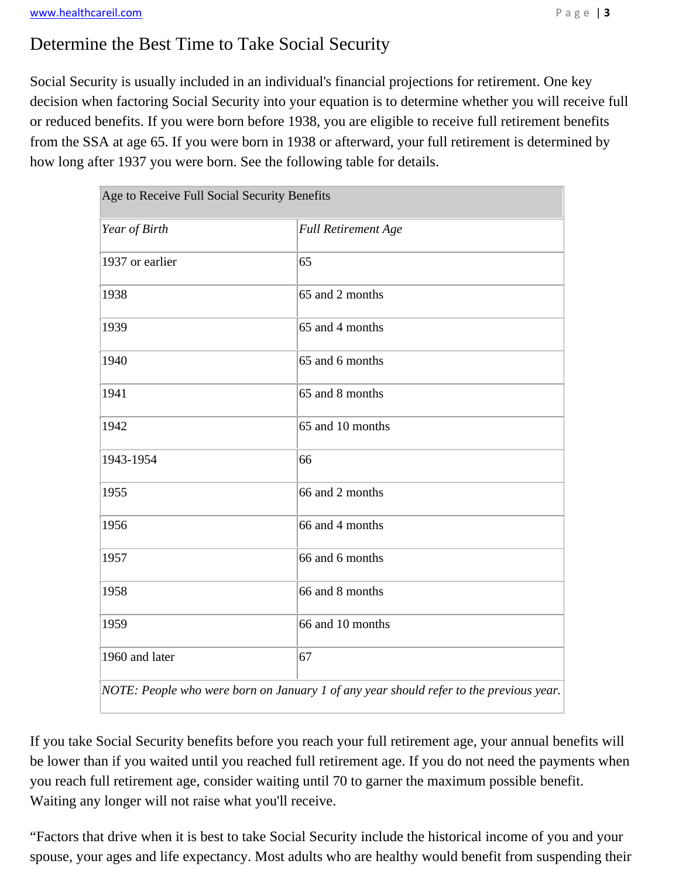## Determine the Best Time to Take Social Security

Social Security is usually included in an individual's financial projections for retirement. One key decision when factoring Social Security into your equation is to determine whether you will receive full or reduced benefits. If you were born before 1938, you are eligible to receive full retirement benefits from the SSA at age 65. If you were born in 1938 or afterward, your full retirement is determined by how long after 1937 you were born. See the following table for details.

| Age to Receive Full Social Security Benefits |                                                               |
|----------------------------------------------|---------------------------------------------------------------|
| Year of Birth                                | <b>Full Retirement Age</b>                                    |
| 1937 or earlier                              | 65                                                            |
| 1938                                         | 65 and 2 months                                               |
| 1939                                         | 65 and 4 months                                               |
| 1940                                         | 65 and 6 months                                               |
| 1941                                         | 65 and 8 months                                               |
| 1942                                         | 65 and 10 months                                              |
| 1943-1954                                    | 66                                                            |
| 1955                                         | 66 and 2 months                                               |
| 1956                                         | 66 and 4 months                                               |
| 1957                                         | 66 and 6 months                                               |
| 1958                                         | 66 and 8 months                                               |
| 1959                                         | 66 and 10 months                                              |
| 1960 and later                               | 67                                                            |
| $\sim$ $\sim$ $\sim$                         | $\mathbf{r}$ $\mathbf{r}$ $\mathbf{r}$ $\mathbf{r}$<br>$\sim$ |

*NOTE: People who were born on January 1 of any year should refer to the previous year.*

If you take Social Security benefits before you reach your full retirement age, your annual benefits will be lower than if you waited until you reached full retirement age. If you do not need the payments when you reach full retirement age, consider waiting until 70 to garner the maximum possible benefit. Waiting any longer will not raise what you'll receive.

"Factors that drive when it is best to take Social Security include the historical income of you and your spouse, your ages and life expectancy. Most adults who are healthy would benefit from suspending their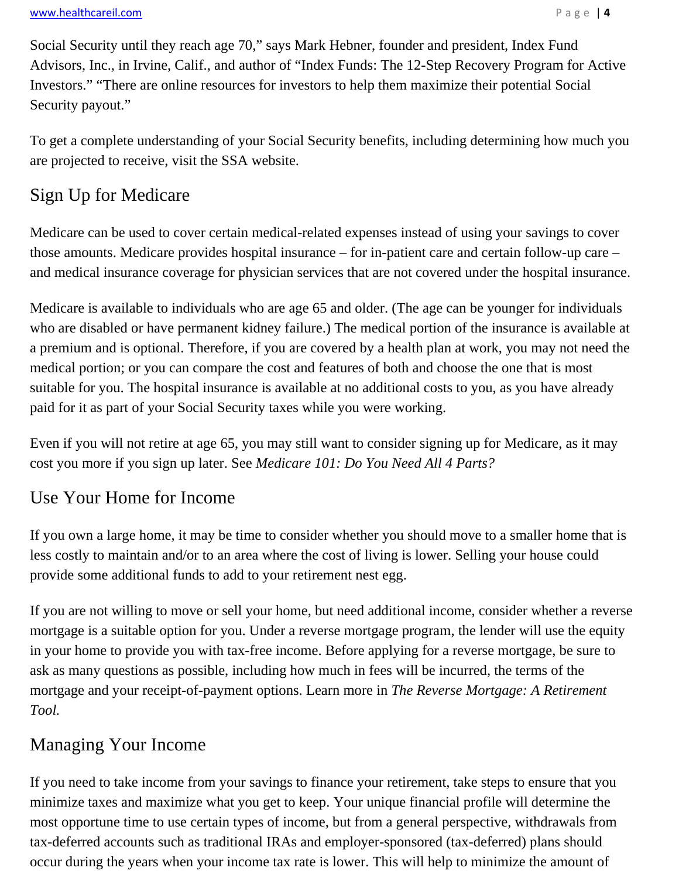Social Security until they reach age 70," says Mark Hebner, founder and president, Index Fund Advisors, Inc., in Irvine, Calif., and author of "Index Funds: The 12-Step Recovery Program for Active Investors." "There are online resources for investors to help them maximize their potential Social Security payout."

To get a complete understanding of your Social Security benefits, including determining how much you are projected to receive, visit the SSA website.

## Sign Up for Medicare

Medicare can be used to cover certain medical-related expenses instead of using your savings to cover those amounts. Medicare provides hospital insurance – for in-patient care and certain follow-up care – and medical insurance coverage for physician services that are not covered under the hospital insurance.

Medicare is available to individuals who are age 65 and older. (The age can be younger for individuals who are disabled or have permanent kidney failure.) The medical portion of the insurance is available at a premium and is optional. Therefore, if you are covered by a health plan at work, you may not need the medical portion; or you can compare the cost and features of both and choose the one that is most suitable for you. The hospital insurance is available at no additional costs to you, as you have already paid for it as part of your Social Security taxes while you were working.

Even if you will not retire at age 65, you may still want to consider signing up for Medicare, as it may cost you more if you sign up later. See *Medicare 101: Do You Need All 4 Parts?*

### Use Your Home for Income

If you own a large home, it may be time to consider whether you should move to a smaller home that is less costly to maintain and/or to an area where the cost of living is lower. Selling your house could provide some additional funds to add to your retirement nest egg.

If you are not willing to move or sell your home, but need additional income, consider whether a reverse mortgage is a suitable option for you. Under a reverse mortgage program, the lender will use the equity in your home to provide you with tax-free income. Before applying for a reverse mortgage, be sure to ask as many questions as possible, including how much in fees will be incurred, the terms of the mortgage and your receipt-of-payment options. Learn more in *The Reverse Mortgage: A Retirement Tool.*

## Managing Your Income

If you need to take income from your savings to finance your retirement, take steps to ensure that you minimize taxes and maximize what you get to keep. Your unique financial profile will determine the most opportune time to use certain types of income, but from a general perspective, withdrawals from tax-deferred accounts such as traditional IRAs and employer-sponsored (tax-deferred) plans should occur during the years when your income tax rate is lower. This will help to minimize the amount of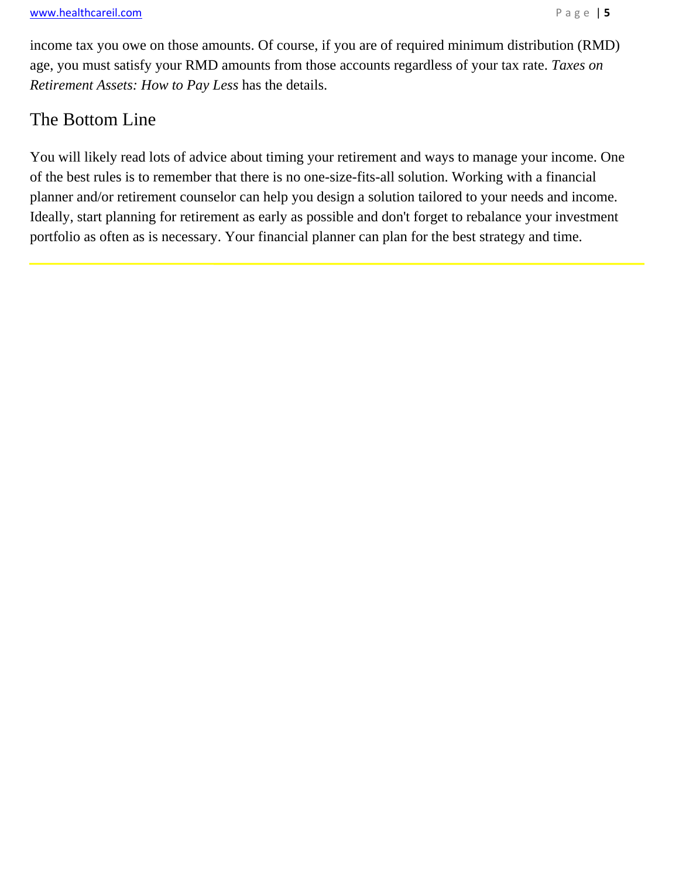income tax you owe on those amounts. Of course, if you are of required minimum distribution (RMD) age, you must satisfy your RMD amounts from those accounts regardless of your tax rate. *Taxes on Retirement Assets: How to Pay Less* has the details.

## The Bottom Line

You will likely read lots of advice about timing your retirement and ways to manage your income. One of the best rules is to remember that there is no one-size-fits-all solution. Working with a financial planner and/or retirement counselor can help you design a solution tailored to your needs and income. Ideally, start planning for retirement as early as possible and don't forget to rebalance your investment portfolio as often as is necessary. Your financial planner can plan for the best strategy and time.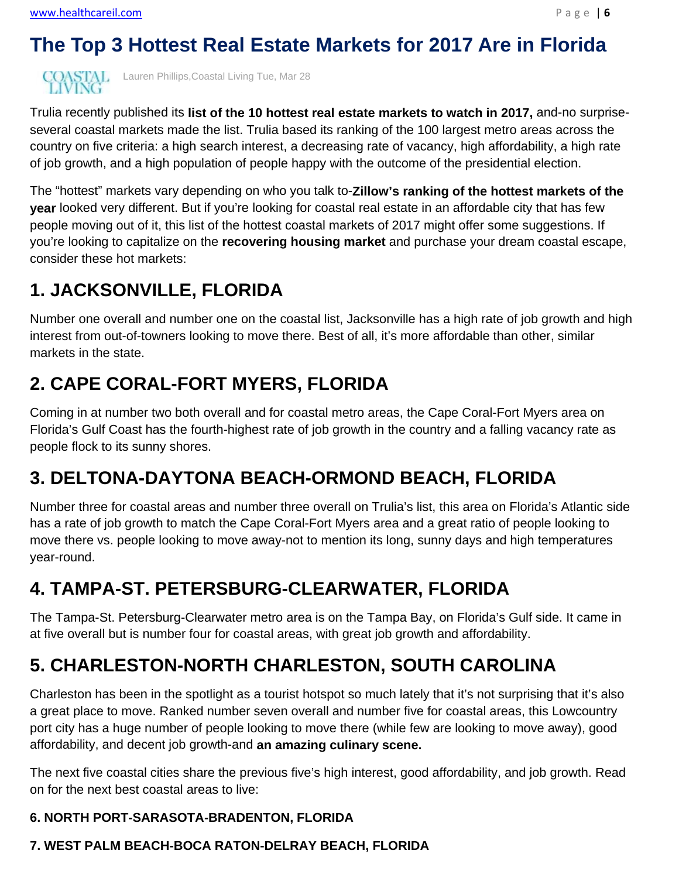## **The Top 3 Hottest Real Estate Markets for 2017 Are in Florida**

COASTAL Lauren Phillips, Coastal Living Tue, Mar 28

Trulia recently published its **list of the 10 hottest real estate markets to watch in 2017,** and-no surpriseseveral coastal markets made the list. Trulia based its ranking of the 100 largest metro areas across the country on five criteria: a high search interest, a decreasing rate of vacancy, high affordability, a high rate of job growth, and a high population of people happy with the outcome of the presidential election.

The "hottest" markets vary depending on who you talk to-**Zillow's ranking of the hottest markets of the year** looked very different. But if you're looking for coastal real estate in an affordable city that has few people moving out of it, this list of the hottest coastal markets of 2017 might offer some suggestions. If you're looking to capitalize on the **recovering housing market** and purchase your dream coastal escape, consider these hot markets:

## **1. JACKSONVILLE, FLORIDA**

Number one overall and number one on the coastal list, Jacksonville has a high rate of job growth and high interest from out-of-towners looking to move there. Best of all, it's more affordable than other, similar markets in the state.

## **2. CAPE CORAL-FORT MYERS, FLORIDA**

Coming in at number two both overall and for coastal metro areas, the Cape Coral-Fort Myers area on Florida's Gulf Coast has the fourth-highest rate of job growth in the country and a falling vacancy rate as people flock to its sunny shores.

## **3. DELTONA-DAYTONA BEACH-ORMOND BEACH, FLORIDA**

Number three for coastal areas and number three overall on Trulia's list, this area on Florida's Atlantic side has a rate of job growth to match the Cape Coral-Fort Myers area and a great ratio of people looking to move there vs. people looking to move away-not to mention its long, sunny days and high temperatures year-round.

## **4. TAMPA-ST. PETERSBURG-CLEARWATER, FLORIDA**

The Tampa-St. Petersburg-Clearwater metro area is on the Tampa Bay, on Florida's Gulf side. It came in at five overall but is number four for coastal areas, with great job growth and affordability.

## **5. CHARLESTON-NORTH CHARLESTON, SOUTH CAROLINA**

Charleston has been in the spotlight as a tourist hotspot so much lately that it's not surprising that it's also a great place to move. Ranked number seven overall and number five for coastal areas, this Lowcountry port city has a huge number of people looking to move there (while few are looking to move away), good affordability, and decent job growth-and **an amazing culinary scene.**

The next five coastal cities share the previous five's high interest, good affordability, and job growth. Read on for the next best coastal areas to live:

#### **6. NORTH PORT-SARASOTA-BRADENTON, FLORIDA**

#### **7. WEST PALM BEACH-BOCA RATON-DELRAY BEACH, FLORIDA**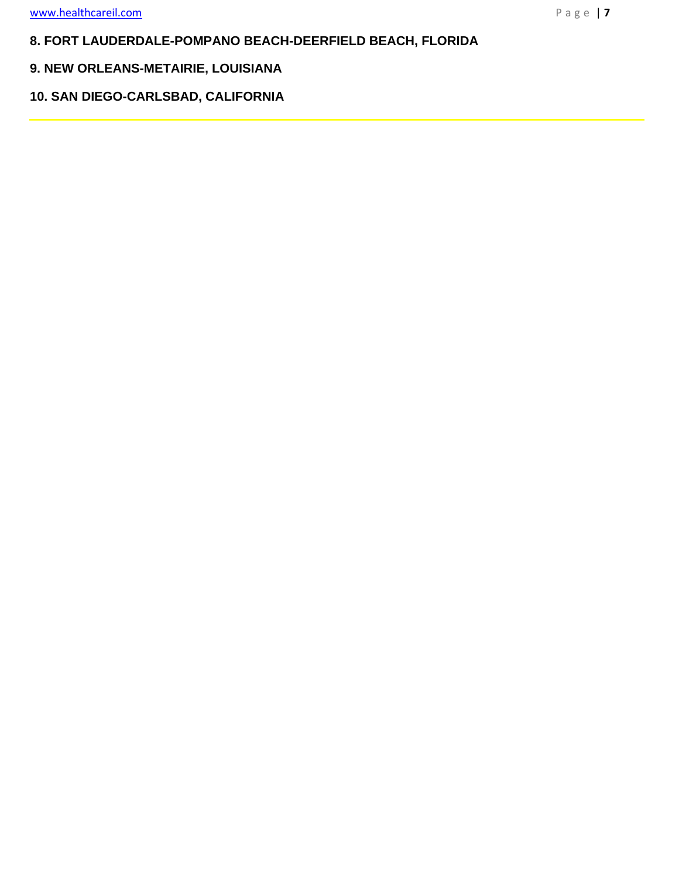#### **8. FORT LAUDERDALE-POMPANO BEACH-DEERFIELD BEACH, FLORIDA**

**9. NEW ORLEANS-METAIRIE, LOUISIANA**

#### **10. SAN DIEGO-CARLSBAD, CALIFORNIA**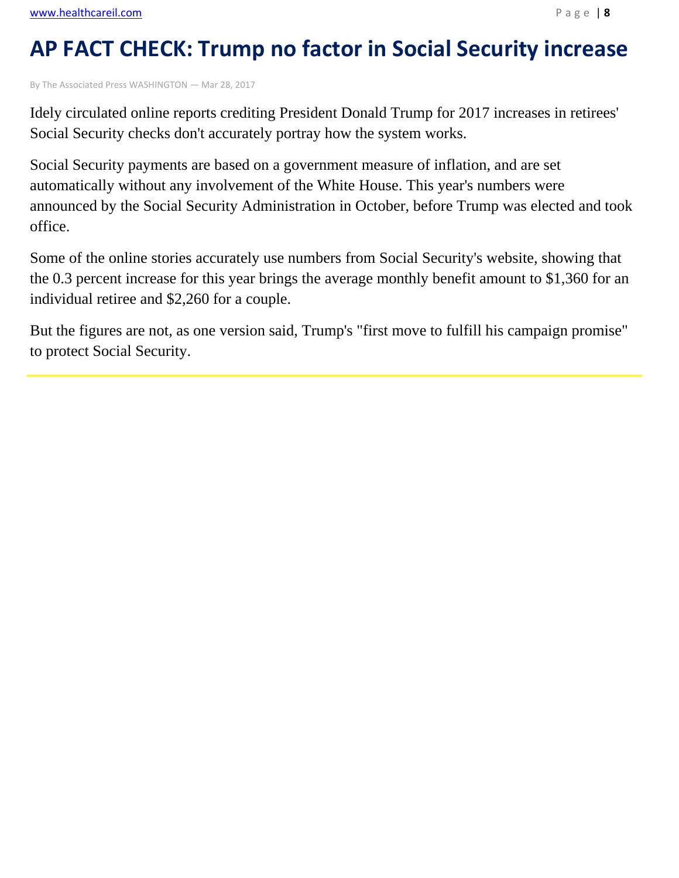## **AP FACT CHECK: Trump no factor in Social Security increase**

By The Associated Press WASHINGTON — Mar 28, 2017

Idely circulated online reports crediting President Donald Trump for 2017 increases in retirees' Social Security checks don't accurately portray how the system works.

Social Security payments are based on a government measure of inflation, and are set automatically without any involvement of the White House. This year's numbers were announced by the Social Security Administration in October, before Trump was elected and took office.

Some of the online stories accurately use numbers from Social Security's website, showing that the 0.3 percent increase for this year brings the average monthly benefit amount to \$1,360 for an individual retiree and \$2,260 for a couple.

But the figures are not, as one version said, Trump's "first move to fulfill his campaign promise" to protect Social Security.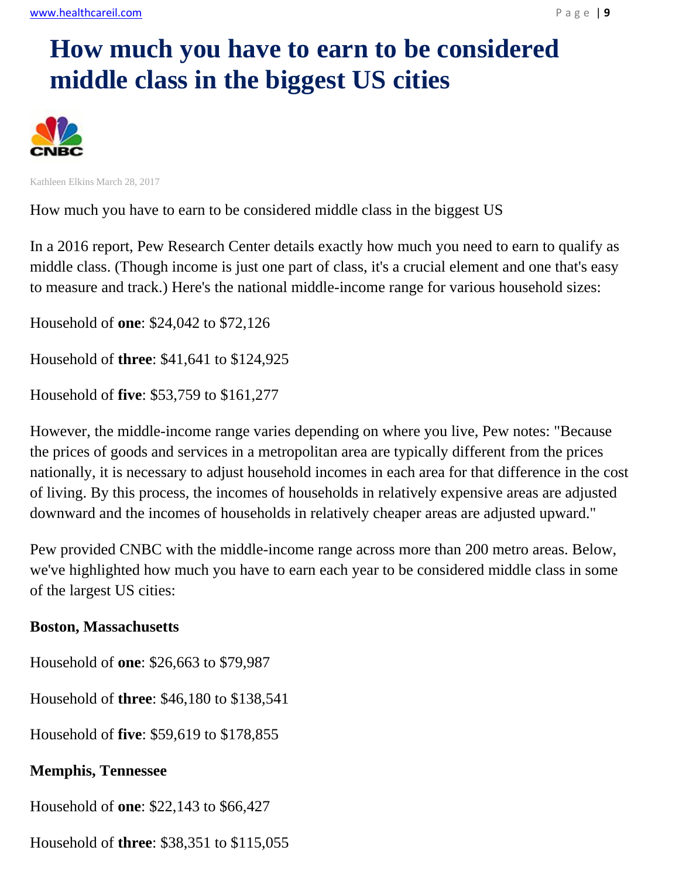# **How much you have to earn to be considered middle class in the biggest US cities**



Kathleen Elkins March 28, 2017

How much you have to earn to be considered middle class in the biggest US

In a 2016 report, Pew Research Center details exactly how much you need to earn to qualify as middle class. (Though income is just one part of class, it's a crucial element and one that's easy to measure and track.) Here's the national middle-income range for various household sizes:

Household of **one**: \$24,042 to \$72,126

Household of **three**: \$41,641 to \$124,925

Household of **five**: \$53,759 to \$161,277

However, the middle-income range varies depending on where you live, Pew notes: "Because the prices of goods and services in a metropolitan area are typically different from the prices nationally, it is necessary to adjust household incomes in each area for that difference in the cost of living. By this process, the incomes of households in relatively expensive areas are adjusted downward and the incomes of households in relatively cheaper areas are adjusted upward."

Pew provided CNBC with the middle-income range across more than 200 metro areas. Below, we've highlighted how much you have to earn each year to be considered middle class in some of the largest US cities:

#### **Boston, Massachusetts**

Household of **one**: \$26,663 to \$79,987

Household of **three**: \$46,180 to \$138,541

Household of **five**: \$59,619 to \$178,855

#### **Memphis, Tennessee**

Household of **one**: \$22,143 to \$66,427

Household of **three**: \$38,351 to \$115,055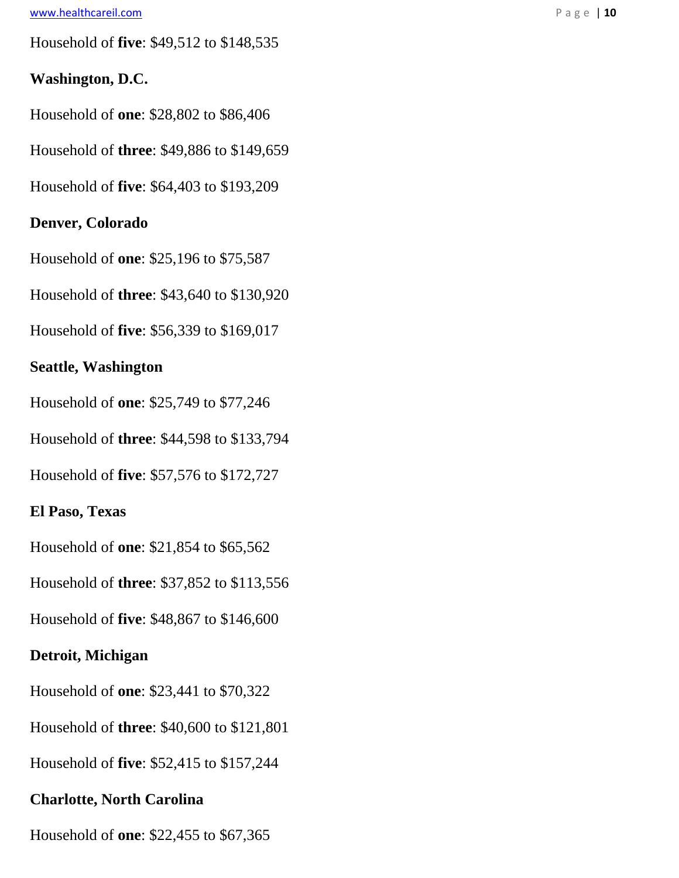#### www.healthcareil.com Page | **10**

Household of **five**: \$49,512 to \$148,535

#### **Washington, D.C.**

Household of **one**: \$28,802 to \$86,406

Household of **three**: \$49,886 to \$149,659

Household of **five**: \$64,403 to \$193,209

#### **Denver, Colorado**

Household of **one**: \$25,196 to \$75,587

Household of **three**: \$43,640 to \$130,920

Household of **five**: \$56,339 to \$169,017

#### **Seattle, Washington**

Household of **one**: \$25,749 to \$77,246

Household of **three**: \$44,598 to \$133,794

Household of **five**: \$57,576 to \$172,727

#### **El Paso, Texas**

Household of **one**: \$21,854 to \$65,562

Household of **three**: \$37,852 to \$113,556

Household of **five**: \$48,867 to \$146,600

#### **Detroit, Michigan**

Household of **one**: \$23,441 to \$70,322

Household of **three**: \$40,600 to \$121,801

Household of **five**: \$52,415 to \$157,244

#### **Charlotte, North Carolina**

Household of **one**: \$22,455 to \$67,365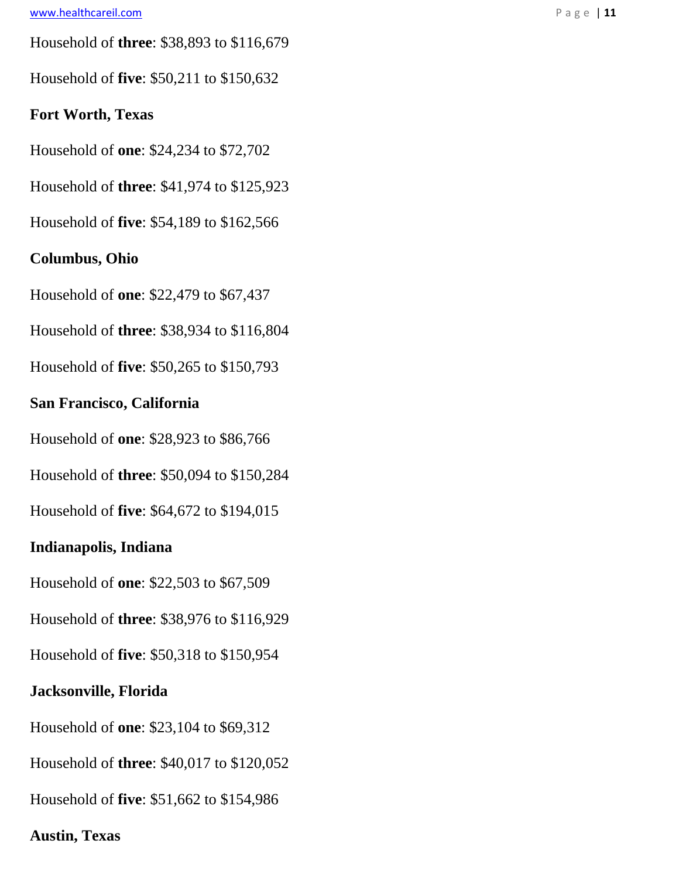#### www.healthcareil.com **blue assumption** and the set of the set of the set of the set of the set of the set of the set of the set of the set of the set of the set of the set of the set of the set of the set of the set of the

Household of **three**: \$38,893 to \$116,679

Household of **five**: \$50,211 to \$150,632

#### **Fort Worth, Texas**

Household of **one**: \$24,234 to \$72,702

Household of **three**: \$41,974 to \$125,923

Household of **five**: \$54,189 to \$162,566

#### **Columbus, Ohio**

Household of **one**: \$22,479 to \$67,437

Household of **three**: \$38,934 to \$116,804

Household of **five**: \$50,265 to \$150,793

#### **San Francisco, California**

Household of **one**: \$28,923 to \$86,766

Household of **three**: \$50,094 to \$150,284

Household of **five**: \$64,672 to \$194,015

#### **Indianapolis, Indiana**

Household of **one**: \$22,503 to \$67,509

Household of **three**: \$38,976 to \$116,929

Household of **five**: \$50,318 to \$150,954

#### **Jacksonville, Florida**

Household of **one**: \$23,104 to \$69,312

Household of **three**: \$40,017 to \$120,052

Household of **five**: \$51,662 to \$154,986

#### **Austin, Texas**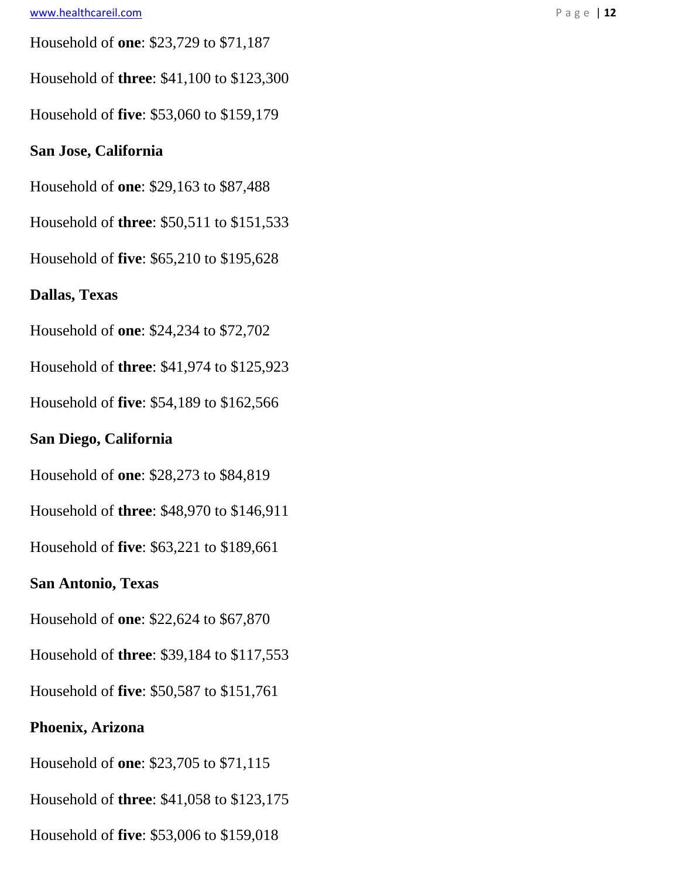#### www.healthcareil.com **blue assumption blue assumption c** and **c** and **p** a g e | **12**

Household of **one**: \$23,729 to \$71,187 Household of **three**: \$41,100 to \$123,300 Household of **five**: \$53,060 to \$159,179 **San Jose, California** Household of **one**: \$29,163 to \$87,488 Household of **three**: \$50,511 to \$151,533 Household of **five**: \$65,210 to \$195,628 **Dallas, Texas** Household of **one**: \$24,234 to \$72,702 Household of **three**: \$41,974 to \$125,923 Household of **five**: \$54,189 to \$162,566 **San Diego, California** Household of **one**: \$28,273 to \$84,819 Household of **three**: \$48,970 to \$146,911 Household of **five**: \$63,221 to \$189,661 **San Antonio, Texas** Household of **one**: \$22,624 to \$67,870 Household of **three**: \$39,184 to \$117,553 Household of **five**: \$50,587 to \$151,761 **Phoenix, Arizona** Household of **one**: \$23,705 to \$71,115 Household of **three**: \$41,058 to \$123,175 Household of **five**: \$53,006 to \$159,018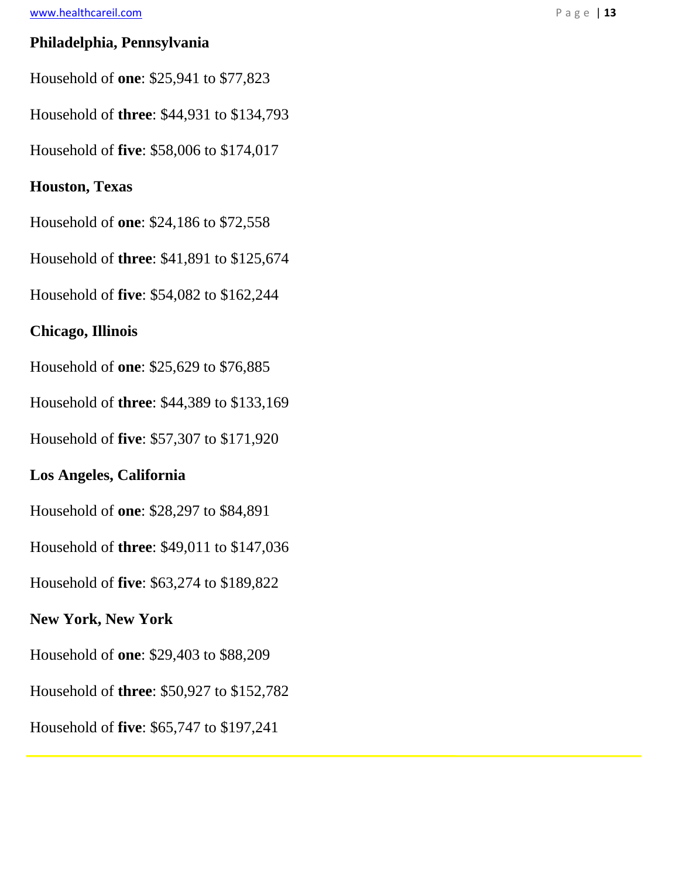#### www.healthcareil.com Page | **13**

#### **Philadelphia, Pennsylvania**

- Household of **one**: \$25,941 to \$77,823
- Household of **three**: \$44,931 to \$134,793
- Household of **five**: \$58,006 to \$174,017

## **Houston, Texas**

- Household of **one**: \$24,186 to \$72,558
- Household of **three**: \$41,891 to \$125,674
- Household of **five**: \$54,082 to \$162,244

## **Chicago, Illinois**

- Household of **one**: \$25,629 to \$76,885
- Household of **three**: \$44,389 to \$133,169
- Household of **five**: \$57,307 to \$171,920

## **Los Angeles, California**

- Household of **one**: \$28,297 to \$84,891
- Household of **three**: \$49,011 to \$147,036
- Household of **five**: \$63,274 to \$189,822

## **New York, New York**

- Household of **one**: \$29,403 to \$88,209
- Household of **three**: \$50,927 to \$152,782
- Household of **five**: \$65,747 to \$197,241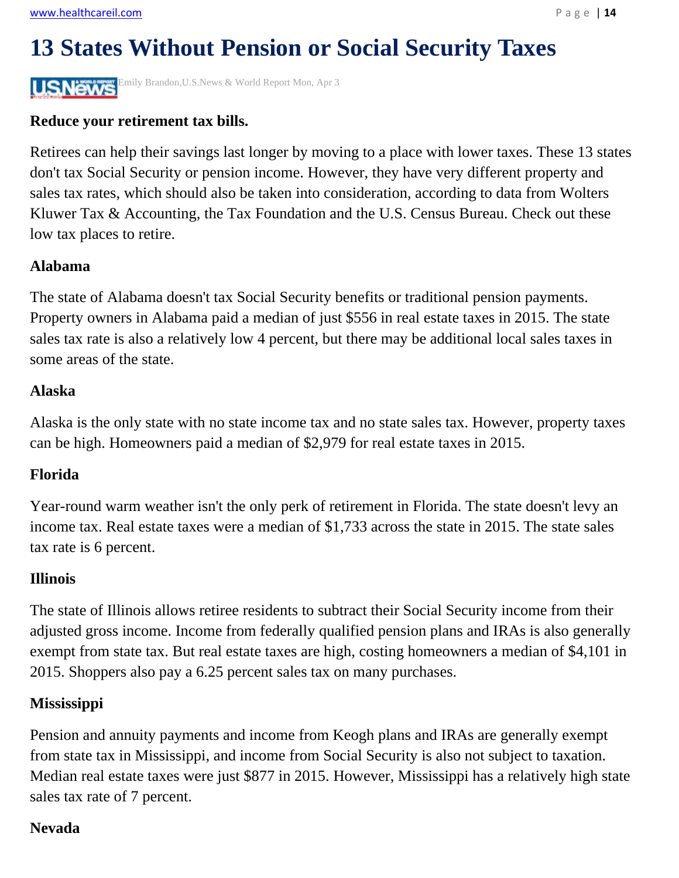# **13 States Without Pension or Social Security Taxes**



USNEWS Emily Brandon, U.S. News & World Report Mon, Apr 3

#### **Reduce your retirement tax bills.**

Retirees can help their savings last longer by moving to a place with lower taxes. These 13 states don't tax Social Security or pension income. However, they have very different property and sales tax rates, which should also be taken into consideration, according to data from Wolters Kluwer Tax & Accounting, the Tax Foundation and the U.S. Census Bureau. Check out these low tax places to retire.

#### **Alabama**

The state of Alabama doesn't tax Social Security benefits or traditional pension payments. Property owners in Alabama paid a median of just \$556 in real estate taxes in 2015. The state sales tax rate is also a relatively low 4 percent, but there may be additional local sales taxes in some areas of the state.

#### **Alaska**

Alaska is the only state with no state income tax and no state sales tax. However, property taxes can be high. Homeowners paid a median of \$2,979 for real estate taxes in 2015.

#### **Florida**

Year-round warm weather isn't the only perk of retirement in Florida. The state doesn't levy an income tax. Real estate taxes were a median of \$1,733 across the state in 2015. The state sales tax rate is 6 percent.

#### **Illinois**

The state of Illinois allows retiree residents to subtract their Social Security income from their adjusted gross income. Income from federally qualified pension plans and IRAs is also generally exempt from state tax. But real estate taxes are high, costing homeowners a median of \$4,101 in 2015. Shoppers also pay a 6.25 percent sales tax on many purchases.

#### **Mississippi**

Pension and annuity payments and income from Keogh plans and IRAs are generally exempt from state tax in Mississippi, and income from Social Security is also not subject to taxation. Median real estate taxes were just \$877 in 2015. However, Mississippi has a relatively high state sales tax rate of 7 percent.

#### **Nevada**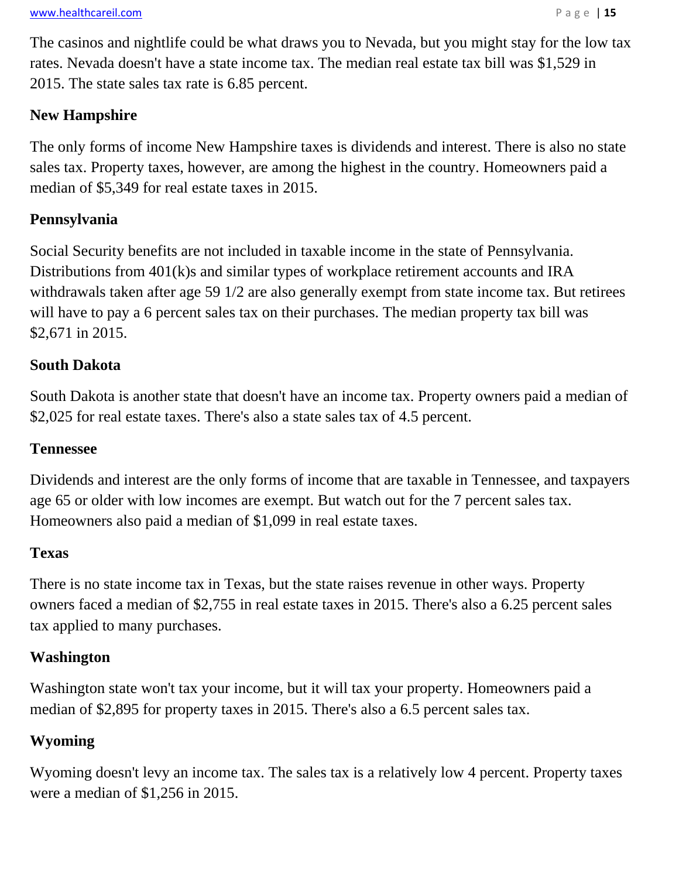The casinos and nightlife could be what draws you to Nevada, but you might stay for the low tax rates. Nevada doesn't have a state income tax. The median real estate tax bill was \$1,529 in 2015. The state sales tax rate is 6.85 percent.

#### **New Hampshire**

The only forms of income New Hampshire taxes is dividends and interest. There is also no state sales tax. Property taxes, however, are among the highest in the country. Homeowners paid a median of \$5,349 for real estate taxes in 2015.

#### **Pennsylvania**

Social Security benefits are not included in taxable income in the state of Pennsylvania. Distributions from 401(k)s and similar types of workplace retirement accounts and IRA withdrawals taken after age 59 1/2 are also generally exempt from state income tax. But retirees will have to pay a 6 percent sales tax on their purchases. The median property tax bill was \$2,671 in 2015.

#### **South Dakota**

South Dakota is another state that doesn't have an income tax. Property owners paid a median of \$2,025 for real estate taxes. There's also a state sales tax of 4.5 percent.

#### **Tennessee**

Dividends and interest are the only forms of income that are taxable in Tennessee, and taxpayers age 65 or older with low incomes are exempt. But watch out for the 7 percent sales tax. Homeowners also paid a median of \$1,099 in real estate taxes.

#### **Texas**

There is no state income tax in Texas, but the state raises revenue in other ways. Property owners faced a median of \$2,755 in real estate taxes in 2015. There's also a 6.25 percent sales tax applied to many purchases.

#### **Washington**

Washington state won't tax your income, but it will tax your property. Homeowners paid a median of \$2,895 for property taxes in 2015. There's also a 6.5 percent sales tax.

#### **Wyoming**

Wyoming doesn't levy an income tax. The sales tax is a relatively low 4 percent. Property taxes were a median of \$1,256 in 2015.